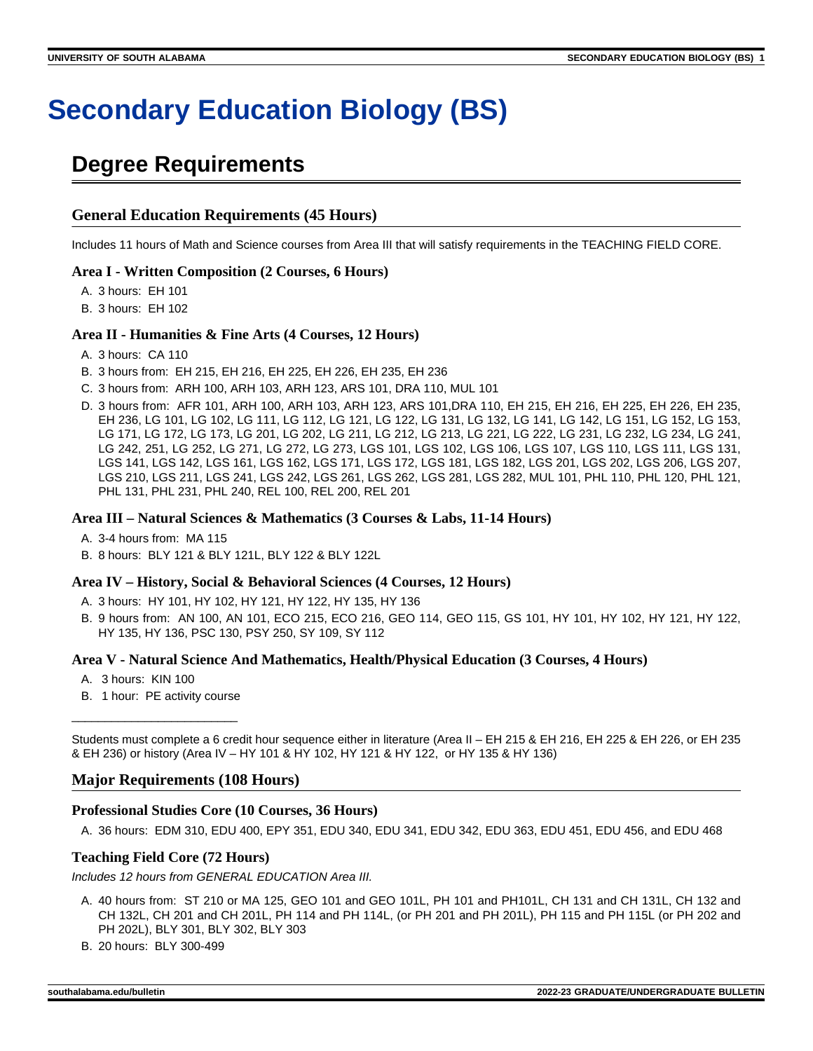# **Secondary Education Biology (BS)**

# **Degree Requirements**

#### **General Education Requirements (45 Hours)**

Includes 11 hours of Math and Science courses from Area III that will satisfy requirements in the TEACHING FIELD CORE.

#### **Area I - Written Composition (2 Courses, 6 Hours)**

A. 3 hours: EH 101

B. 3 hours: EH 102

#### **Area II - Humanities & Fine Arts (4 Courses, 12 Hours)**

A. 3 hours: CA 110

- B. 3 hours from: EH 215, EH 216, EH 225, EH 226, EH 235, EH 236
- C. 3 hours from: ARH 100, ARH 103, ARH 123, ARS 101, DRA 110, MUL 101
- D. 3 hours from: AFR 101, ARH 100, ARH 103, ARH 123, ARS 101,DRA 110, EH 215, EH 216, EH 225, EH 226, EH 235, EH 236, LG 101, LG 102, LG 111, LG 112, LG 121, LG 122, LG 131, LG 132, LG 141, LG 142, LG 151, LG 152, LG 153, LG 171, LG 172, LG 173, LG 201, LG 202, LG 211, LG 212, LG 213, LG 221, LG 222, LG 231, LG 232, LG 234, LG 241, LG 242, 251, LG 252, LG 271, LG 272, LG 273, LGS 101, LGS 102, LGS 106, LGS 107, LGS 110, LGS 111, LGS 131, LGS 141, LGS 142, LGS 161, LGS 162, LGS 171, LGS 172, LGS 181, LGS 182, LGS 201, LGS 202, LGS 206, LGS 207, LGS 210, LGS 211, LGS 241, LGS 242, LGS 261, LGS 262, LGS 281, LGS 282, MUL 101, PHL 110, PHL 120, PHL 121, PHL 131, PHL 231, PHL 240, REL 100, REL 200, REL 201

#### **Area III – Natural Sciences & Mathematics (3 Courses & Labs, 11-14 Hours)**

A. 3-4 hours from: MA 115

B. 8 hours: BLY 121 & BLY 121L, BLY 122 & BLY 122L

#### **Area IV – History, Social & Behavioral Sciences (4 Courses, 12 Hours)**

- A. 3 hours: HY 101, HY 102, HY 121, HY 122, HY 135, HY 136
- B. 9 hours from: AN 100, AN 101, ECO 215, ECO 216, GEO 114, GEO 115, GS 101, HY 101, HY 102, HY 121, HY 122, HY 135, HY 136, PSC 130, PSY 250, SY 109, SY 112

#### **Area V - Natural Science And Mathematics, Health/Physical Education (3 Courses, 4 Hours)**

- A. 3 hours: KIN 100
- B. 1 hour: PE activity course \_\_\_\_\_\_\_\_\_\_\_\_\_\_\_\_\_\_\_\_\_\_\_\_\_

Students must complete a 6 credit hour sequence either in literature (Area II – EH 215 & EH 216, EH 225 & EH 226, or EH 235 & EH 236) or history (Area IV – HY 101 & HY 102, HY 121 & HY 122, or HY 135 & HY 136)

#### **Major Requirements (108 Hours)**

#### **Professional Studies Core (10 Courses, 36 Hours)**

A. 36 hours: EDM 310, EDU 400, EPY 351, EDU 340, EDU 341, EDU 342, EDU 363, EDU 451, EDU 456, and EDU 468

#### **Teaching Field Core (72 Hours)**

Includes 12 hours from GENERAL EDUCATION Area III.

- A. 40 hours from: ST 210 or MA 125, GEO 101 and GEO 101L, PH 101 and PH101L, CH 131 and CH 131L, CH 132 and CH 132L, CH 201 and CH 201L, PH 114 and PH 114L, (or PH 201 and PH 201L), PH 115 and PH 115L (or PH 202 and PH 202L), BLY 301, BLY 302, BLY 303
- B. 20 hours: BLY 300-499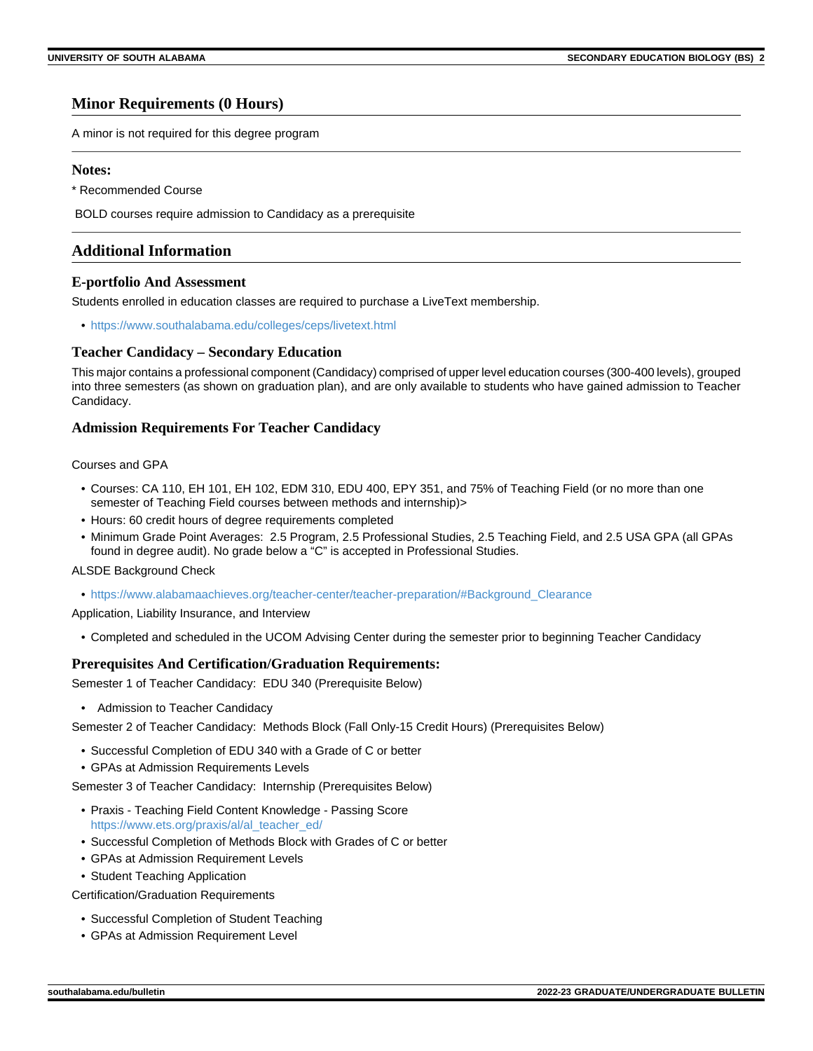### **Minor Requirements (0 Hours)**

A minor is not required for this degree program

#### **Notes:**

\* Recommended Course

BOLD courses require admission to Candidacy as a prerequisite

### **Additional Information**

#### **E-portfolio And Assessment**

Students enrolled in education classes are required to purchase a LiveText membership.

• <https://www.southalabama.edu/colleges/ceps/livetext.html>

#### **Teacher Candidacy – Secondary Education**

This major contains a professional component (Candidacy) comprised of upper level education courses (300-400 levels), grouped into three semesters (as shown on graduation plan), and are only available to students who have gained admission to Teacher Candidacy.

#### **Admission Requirements For Teacher Candidacy**

#### Courses and GPA

- Courses: CA 110, EH 101, EH 102, EDM 310, EDU 400, EPY 351, and 75% of Teaching Field (or no more than one semester of Teaching Field courses between methods and internship)>
- Hours: 60 credit hours of degree requirements completed
- Minimum Grade Point Averages: 2.5 Program, 2.5 Professional Studies, 2.5 Teaching Field, and 2.5 USA GPA (all GPAs found in degree audit). No grade below a "C" is accepted in Professional Studies.

#### ALSDE Background Check

• [https://www.alabamaachieves.org/teacher-center/teacher-preparation/#Background\\_Clearance](https://www.alabamaachieves.org/teacher-center/teacher-preparation/#Background_Clearance)

Application, Liability Insurance, and Interview

• Completed and scheduled in the UCOM Advising Center during the semester prior to beginning Teacher Candidacy

#### **Prerequisites And Certification/Graduation Requirements:**

Semester 1 of Teacher Candidacy: EDU 340 (Prerequisite Below)

• Admission to Teacher Candidacy

Semester 2 of Teacher Candidacy: Methods Block (Fall Only-15 Credit Hours) (Prerequisites Below)

- Successful Completion of EDU 340 with a Grade of C or better
- GPAs at Admission Requirements Levels

Semester 3 of Teacher Candidacy: Internship (Prerequisites Below)

- Praxis Teaching Field Content Knowledge Passing Score [https://www.ets.org/praxis/al/al\\_teacher\\_ed/](https://www.ets.org/praxis/al/al_teacher_ed/)
- Successful Completion of Methods Block with Grades of C or better
- GPAs at Admission Requirement Levels
- Student Teaching Application

Certification/Graduation Requirements

- Successful Completion of Student Teaching
- GPAs at Admission Requirement Level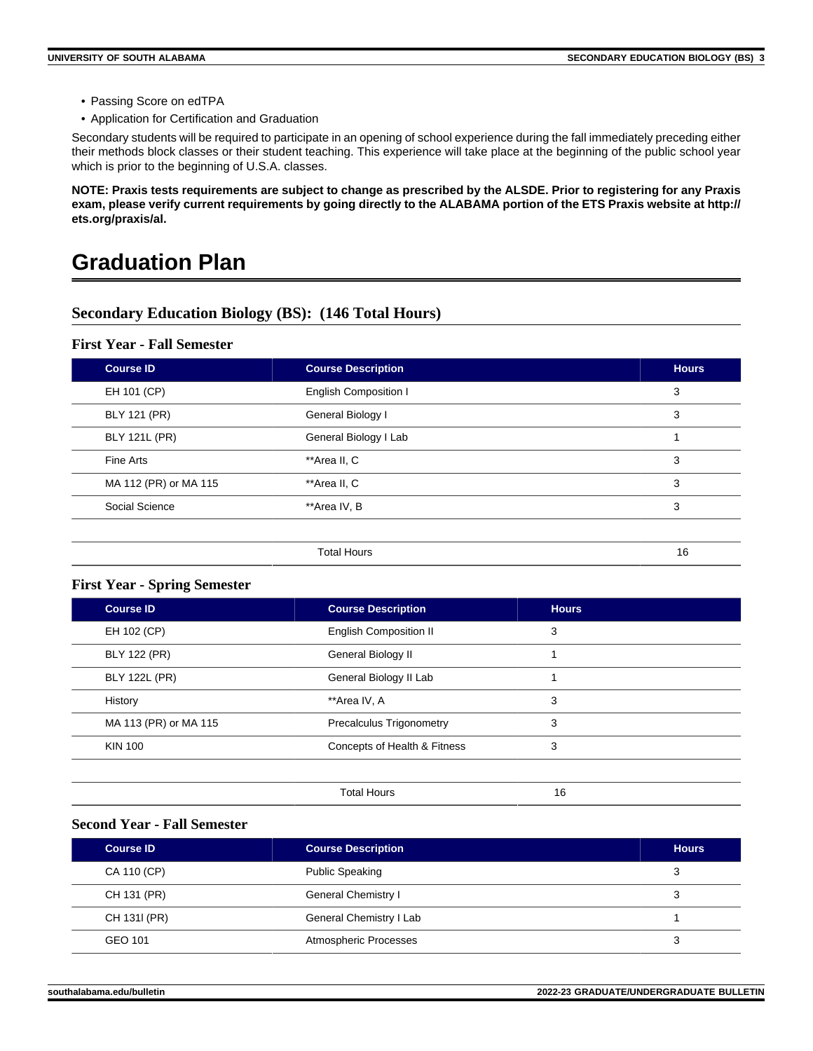- Passing Score on edTPA
- Application for Certification and Graduation

Secondary students will be required to participate in an opening of school experience during the fall immediately preceding either their methods block classes or their student teaching. This experience will take place at the beginning of the public school year which is prior to the beginning of U.S.A. classes.

**NOTE: Praxis tests requirements are subject to change as prescribed by the ALSDE. Prior to registering for any Praxis exam, please verify current requirements by going directly to the ALABAMA portion of the ETS Praxis website at http:// ets.org/praxis/al.**

# **Graduation Plan**

### **Secondary Education Biology (BS): (146 Total Hours)**

#### **First Year - Fall Semester**

| <b>Course ID</b>      | <b>Course Description</b>    | <b>Hours</b> |
|-----------------------|------------------------------|--------------|
| EH 101 (CP)           | <b>English Composition I</b> | 3            |
| BLY 121 (PR)          | General Biology I            | 3            |
| <b>BLY 121L (PR)</b>  | General Biology I Lab        |              |
| Fine Arts             | **Area II, C                 | 3            |
| MA 112 (PR) or MA 115 | **Area II, C                 | 3            |
| Social Science        | **Area IV, B                 | 3            |
|                       |                              |              |
|                       | <b>Total Hours</b>           | 16           |

#### **First Year - Spring Semester**

| Course ID             | <b>Course Description</b>     | <b>Hours</b> |  |
|-----------------------|-------------------------------|--------------|--|
| EH 102 (CP)           | <b>English Composition II</b> | 3            |  |
| <b>BLY 122 (PR)</b>   | General Biology II            |              |  |
| <b>BLY 122L (PR)</b>  | General Biology II Lab        |              |  |
| History               | **Area IV, A                  | 3            |  |
| MA 113 (PR) or MA 115 | Precalculus Trigonometry      | 3            |  |
| <b>KIN 100</b>        | Concepts of Health & Fitness  | 3            |  |
|                       |                               |              |  |
|                       | <b>Total Hours</b>            | 16           |  |

### **Second Year - Fall Semester**

| <b>Course ID</b> | <b>Course Description</b> | <b>Hours</b> |
|------------------|---------------------------|--------------|
| CA 110 (CP)      | <b>Public Speaking</b>    | 3            |
| CH 131 (PR)      | General Chemistry I       | 3            |
| CH 1311 (PR)     | General Chemistry I Lab   |              |
| GEO 101          | Atmospheric Processes     | 3            |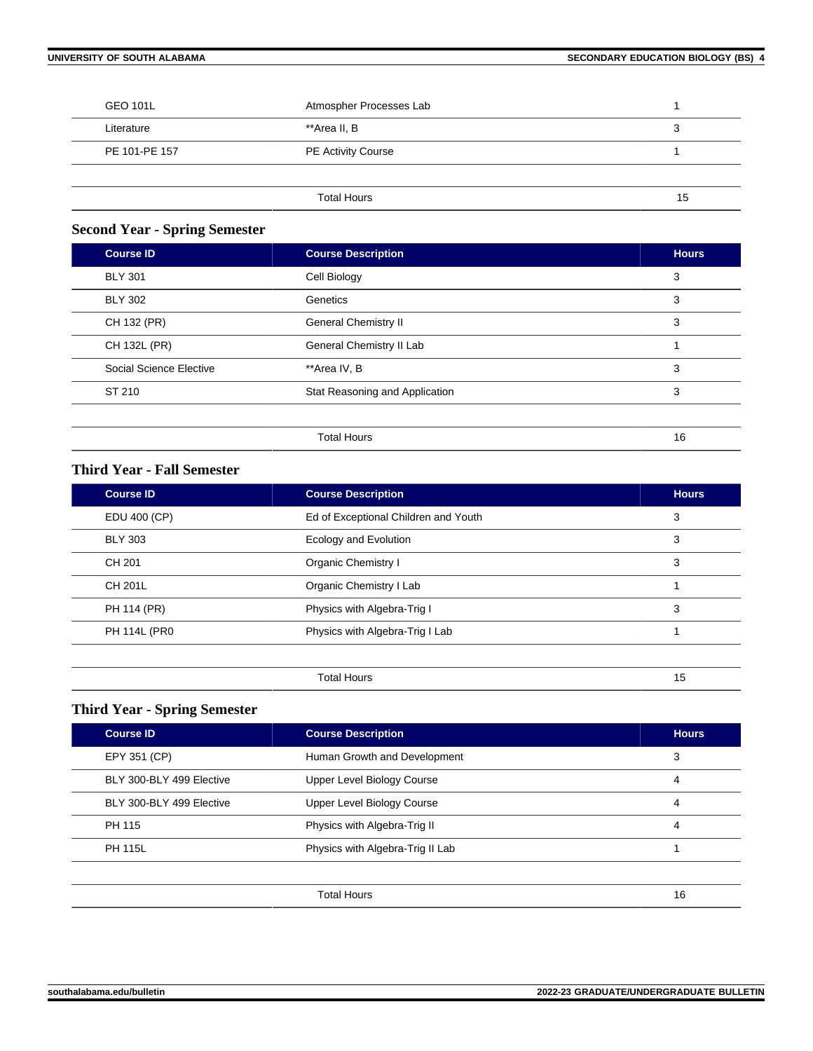| <b>GEO 101L</b> | Atmospher Processes Lab   |    |
|-----------------|---------------------------|----|
| Literature      | **Area II, B              | 3  |
| PE 101-PE 157   | <b>PE Activity Course</b> |    |
|                 |                           |    |
|                 | <b>Total Hours</b>        | 15 |

# **Second Year - Spring Semester**

| <b>Course ID</b>        | <b>Course Description</b>      | <b>Hours</b> |
|-------------------------|--------------------------------|--------------|
| <b>BLY 301</b>          | Cell Biology                   | 3            |
| <b>BLY 302</b>          | Genetics                       | 3            |
| CH 132 (PR)             | <b>General Chemistry II</b>    | 3            |
| CH 132L (PR)            | General Chemistry II Lab       |              |
| Social Science Elective | **Area IV, B                   | 3            |
| ST 210                  | Stat Reasoning and Application | 3            |
|                         |                                |              |
|                         | <b>Total Hours</b>             | 16           |

# **Third Year - Fall Semester**

| <b>Course ID</b> | <b>Course Description</b>            | <b>Hours</b> |
|------------------|--------------------------------------|--------------|
| EDU 400 (CP)     | Ed of Exceptional Children and Youth | 3            |
| <b>BLY 303</b>   | Ecology and Evolution                | 3            |
| CH 201           | Organic Chemistry I                  | 3            |
| <b>CH 201L</b>   | Organic Chemistry I Lab              |              |
| PH 114 (PR)      | Physics with Algebra-Trig I          | 3            |
| PH 114L (PR0     | Physics with Algebra-Trig I Lab      |              |
|                  |                                      |              |

# **Third Year - Spring Semester**

| <b>Course ID</b>         | <b>Course Description</b>        | <b>Hours</b> |
|--------------------------|----------------------------------|--------------|
| EPY 351 (CP)             | Human Growth and Development     | 3            |
| BLY 300-BLY 499 Elective | Upper Level Biology Course       | 4            |
| BLY 300-BLY 499 Elective | Upper Level Biology Course       | 4            |
| PH 115                   | Physics with Algebra-Trig II     | 4            |
| <b>PH 115L</b>           | Physics with Algebra-Trig II Lab |              |
|                          |                                  |              |
|                          | <b>Total Hours</b>               | 16           |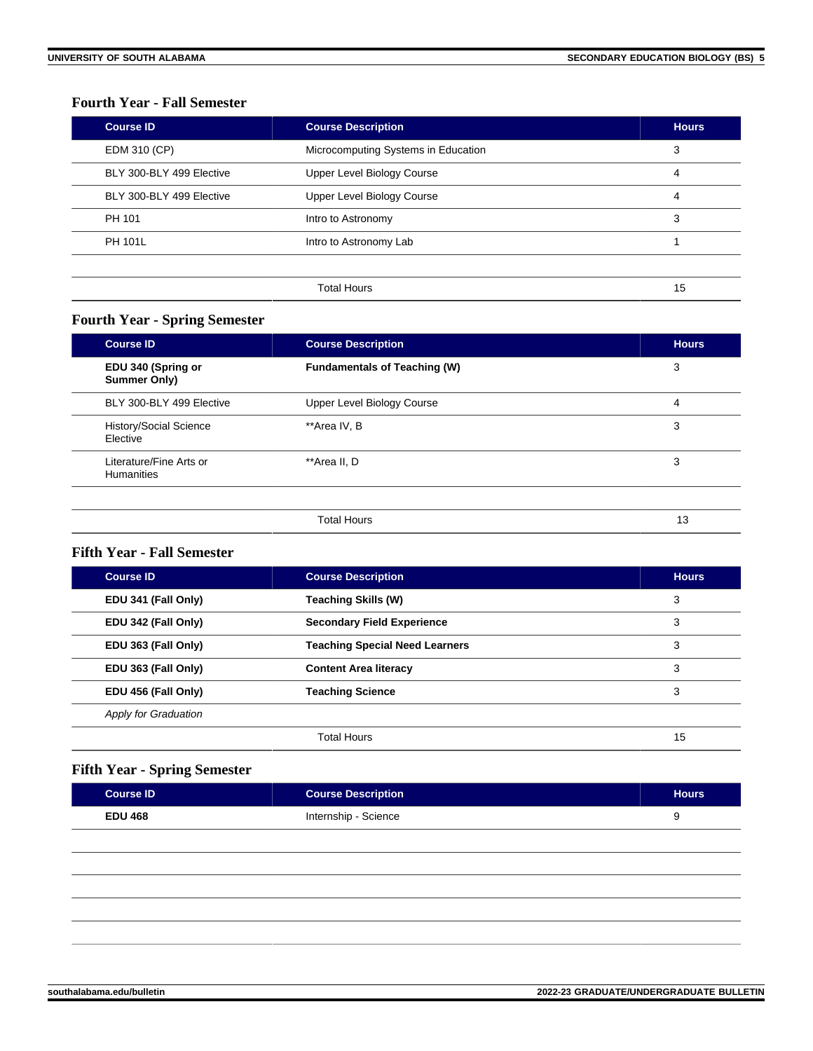# **Fourth Year - Fall Semester**

| <b>Course ID</b>         | <b>Course Description</b>           | <b>Hours</b> |
|--------------------------|-------------------------------------|--------------|
| EDM 310 (CP)             | Microcomputing Systems in Education | 3            |
| BLY 300-BLY 499 Elective | Upper Level Biology Course          | 4            |
| BLY 300-BLY 499 Elective | Upper Level Biology Course          | 4            |
| PH 101                   | Intro to Astronomy                  | 3            |
| <b>PH 101L</b>           | Intro to Astronomy Lab              |              |
|                          |                                     |              |
|                          | <b>Total Hours</b>                  | 15           |

# **Fourth Year - Spring Semester**

| <b>Course ID</b>                             | <b>Course Description</b>           | <b>Hours</b> |
|----------------------------------------------|-------------------------------------|--------------|
| EDU 340 (Spring or<br>Summer Only)           | <b>Fundamentals of Teaching (W)</b> | 3            |
| BLY 300-BLY 499 Elective                     | Upper Level Biology Course          | 4            |
| History/Social Science<br>Elective           | **Area IV, B                        | 3            |
| Literature/Fine Arts or<br><b>Humanities</b> | **Area II, D                        | 3            |
|                                              | <b>Total Hours</b>                  | 13           |

#### **Fifth Year - Fall Semester**

| <b>Course ID</b>            | <b>Course Description</b>             | <b>Hours</b> |
|-----------------------------|---------------------------------------|--------------|
| EDU 341 (Fall Only)         | <b>Teaching Skills (W)</b>            | 3            |
| EDU 342 (Fall Only)         | <b>Secondary Field Experience</b>     | 3            |
| EDU 363 (Fall Only)         | <b>Teaching Special Need Learners</b> | 3            |
| EDU 363 (Fall Only)         | <b>Content Area literacy</b>          | 3            |
| EDU 456 (Fall Only)         | <b>Teaching Science</b>               | 3            |
| <b>Apply for Graduation</b> |                                       |              |
|                             | <b>Total Hours</b>                    | 15           |

# **Fifth Year - Spring Semester**

| <b>Course ID</b> | <b>Course Description</b> | <b>Hours</b> |
|------------------|---------------------------|--------------|
| <b>EDU 468</b>   | Internship - Science      | ◡            |
|                  |                           |              |
|                  |                           |              |
|                  |                           |              |